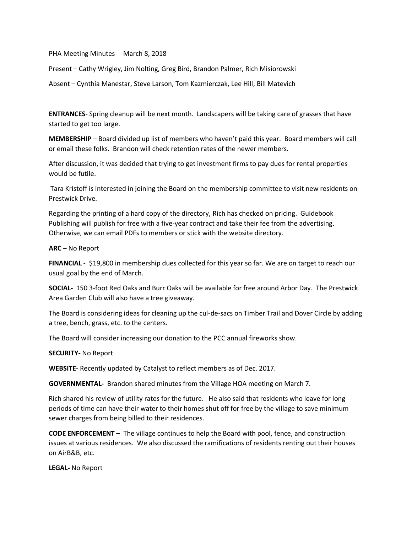PHA Meeting Minutes March 8, 2018

Present – Cathy Wrigley, Jim Nolting, Greg Bird, Brandon Palmer, Rich Misiorowski

Absent – Cynthia Manestar, Steve Larson, Tom Kazmierczak, Lee Hill, Bill Matevich

**ENTRANCES**- Spring cleanup will be next month. Landscapers will be taking care of grasses that have started to get too large.

**MEMBERSHIP** – Board divided up list of members who haven't paid this year. Board members will call or email these folks. Brandon will check retention rates of the newer members.

After discussion, it was decided that trying to get investment firms to pay dues for rental properties would be futile.

Tara Kristoff is interested in joining the Board on the membership committee to visit new residents on Prestwick Drive.

Regarding the printing of a hard copy of the directory, Rich has checked on pricing. Guidebook Publishing will publish for free with a five-year contract and take their fee from the advertising. Otherwise, we can email PDFs to members or stick with the website directory.

## **ARC** – No Report

**FINANCIAL** - \$19,800 in membership dues collected for this year so far. We are on target to reach our usual goal by the end of March.

**SOCIAL-** 150 3-foot Red Oaks and Burr Oaks will be available for free around Arbor Day. The Prestwick Area Garden Club will also have a tree giveaway.

The Board is considering ideas for cleaning up the cul-de-sacs on Timber Trail and Dover Circle by adding a tree, bench, grass, etc. to the centers.

The Board will consider increasing our donation to the PCC annual fireworks show.

## **SECURITY-** No Report

**WEBSITE-** Recently updated by Catalyst to reflect members as of Dec. 2017.

**GOVERNMENTAL-** Brandon shared minutes from the Village HOA meeting on March 7.

Rich shared his review of utility rates for the future. He also said that residents who leave for long periods of time can have their water to their homes shut off for free by the village to save minimum sewer charges from being billed to their residences.

**CODE ENFORCEMENT –** The village continues to help the Board with pool, fence, and construction issues at various residences. We also discussed the ramifications of residents renting out their houses on AirB&B, etc.

**LEGAL-** No Report